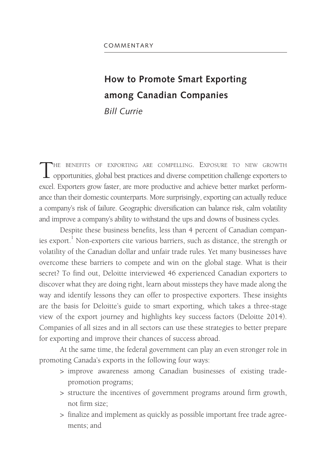# **How to Promote Smart Exporting among Canadian Companies** *Bill Currie*

THE BENEFITS OF EXPORTING ARE COMPELLING. EXPOSURE TO NEW GROWTH  $\perp$  opportunities, global best practices and diverse competition challenge exporters to excel. Exporters grow faster, are more productive and achieve better market performance than their domestic counterparts. More surprisingly, exporting can actually reduce a company's risk of failure. Geographic diversification can balance risk, calm volatility and improve a company's ability to withstand the ups and downs of business cycles.

Despite these business benefits, less than 4 percent of Canadian companies export. $^{\rm l}$  Non-exporters cite various barriers, such as distance, the strength or volatility of the Canadian dollar and unfair trade rules. Yet many businesses have overcome these barriers to compete and win on the global stage. What is their secret? To find out, Deloitte interviewed 46 experienced Canadian exporters to discover what they are doing right, learn about missteps they have made along the way and identify lessons they can offer to prospective exporters. These insights are the basis for Deloitte's guide to smart exporting, which takes a three-stage view of the export journey and highlights key success factors (Deloitte 2014). Companies of all sizes and in all sectors can use these strategies to better prepare for exporting and improve their chances of success abroad.

At the same time, the federal government can play an even stronger role in promoting Canada's exports in the following four ways:

- > improve awareness among Canadian businesses of existing tradepromotion programs;
- > structure the incentives of government programs around firm growth, not firm size;
- > finalize and implement as quickly as possible important free trade agreements; and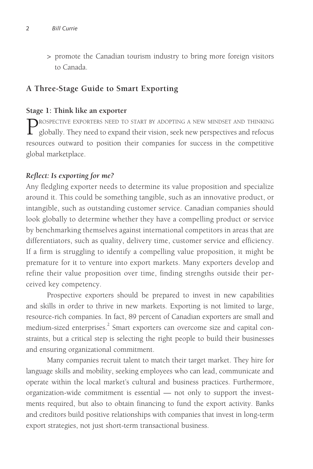> promote the Canadian tourism industry to bring more foreign visitors to Canada.

# **A Three-Stage Guide to Smart Exporting**

#### **Stage 1: Think like an exporter**

PROSPECTIVE EXPORTERS NEED TO START BY ADOPTING A NEW MINDSET AND THINKING<br>globally. They need to expand their vision, seek new perspectives and refocus resources outward to position their companies for success in the competitive global marketplace.

#### *Reflect: Is exporting for me?*

Any fledgling exporter needs to determine its value proposition and specialize around it. This could be something tangible, such as an innovative product, or intangible, such as outstanding customer service. Canadian companies should look globally to determine whether they have a compelling product or service by benchmarking themselves against international competitors in areas that are differentiators, such as quality, delivery time, customer service and efficiency. If a firm is struggling to identify a compelling value proposition, it might be premature for it to venture into export markets. Many exporters develop and refine their value proposition over time, finding strengths outside their perceived key competency.

Prospective exporters should be prepared to invest in new capabilities and skills in order to thrive in new markets. Exporting is not limited to large, resource-rich companies. In fact, 89 percent of Canadian exporters are small and medium-sized enterprises.<sup>2</sup> Smart exporters can overcome size and capital constraints, but a critical step is selecting the right people to build their businesses and ensuring organizational commitment.

Many companies recruit talent to match their target market. They hire for language skills and mobility, seeking employees who can lead, communicate and operate within the local market's cultural and business practices. Furthermore, organization-wide commitment is essential — not only to support the investments required, but also to obtain financing to fund the export activity. Banks and creditors build positive relationships with companies that invest in long-term export strategies, not just short-term transactional business.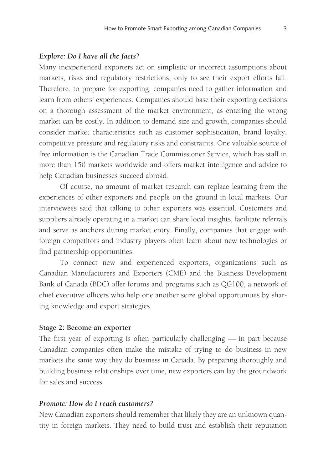#### *Explore: Do I have all the facts?*

Many inexperienced exporters act on simplistic or incorrect assumptions about markets, risks and regulatory restrictions, only to see their export efforts fail. Therefore, to prepare for exporting, companies need to gather information and learn from others' experiences. Companies should base their exporting decisions on a thorough assessment of the market environment, as entering the wrong market can be costly. In addition to demand size and growth, companies should consider market characteristics such as customer sophistication, brand loyalty, competitive pressure and regulatory risks and constraints. One valuable source of free information is the Canadian Trade Commissioner Service, which has staff in more than 150 markets worldwide and offers market intelligence and advice to help Canadian businesses succeed abroad.

Of course, no amount of market research can replace learning from the experiences of other exporters and people on the ground in local markets. Our interviewees said that talking to other exporters was essential. Customers and suppliers already operating in a market can share local insights, facilitate referrals and serve as anchors during market entry. Finally, companies that engage with foreign competitors and industry players often learn about new technologies or find partnership opportunities.

To connect new and experienced exporters, organizations such as Canadian Manufacturers and Exporters (CME) and the Business Development Bank of Canada (BDC) offer forums and programs such as QG100, a network of chief executive officers who help one another seize global opportunities by sharing knowledge and export strategies.

#### **Stage 2: Become an exporter**

The first year of exporting is often particularly challenging — in part because Canadian companies often make the mistake of trying to do business in new markets the same way they do business in Canada. By preparing thoroughly and building business relationships over time, new exporters can lay the groundwork for sales and success.

#### *Promote: How do I reach customers?*

New Canadian exporters should remember that likely they are an unknown quantity in foreign markets. They need to build trust and establish their reputation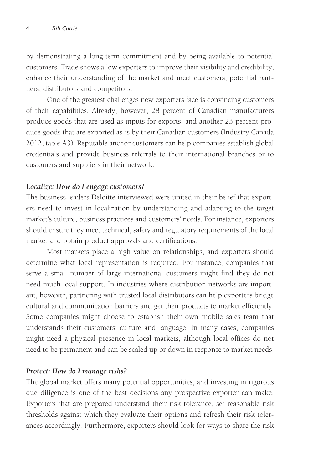by demonstrating a long-term commitment and by being available to potential customers. Trade shows allow exporters to improve their visibility and credibility, enhance their understanding of the market and meet customers, potential partners, distributors and competitors.

One of the greatest challenges new exporters face is convincing customers of their capabilities. Already, however, 28 percent of Canadian manufacturers produce goods that are used as inputs for exports, and another 23 percent produce goods that are exported as-is by their Canadian customers (Industry Canada 2012, table A3). Reputable anchor customers can help companies establish global credentials and provide business referrals to their international branches or to customers and suppliers in their network.

## *Localize: How do I engage customers?*

The business leaders Deloitte interviewed were united in their belief that exporters need to invest in localization by understanding and adapting to the target market's culture, business practices and customers' needs. For instance, exporters should ensure they meet technical, safety and regulatory requirements of the local market and obtain product approvals and certifications.

Most markets place a high value on relationships, and exporters should determine what local representation is required. For instance, companies that serve a small number of large international customers might find they do not need much local support. In industries where distribution networks are important, however, partnering with trusted local distributors can help exporters bridge cultural and communication barriers and get their products to market efficiently. Some companies might choose to establish their own mobile sales team that understands their customers' culture and language. In many cases, companies might need a physical presence in local markets, although local offices do not need to be permanent and can be scaled up or down in response to market needs.

## *Protect: How do I manage risks?*

The global market offers many potential opportunities, and investing in rigorous due diligence is one of the best decisions any prospective exporter can make. Exporters that are prepared understand their risk tolerance, set reasonable risk thresholds against which they evaluate their options and refresh their risk tolerances accordingly. Furthermore, exporters should look for ways to share the risk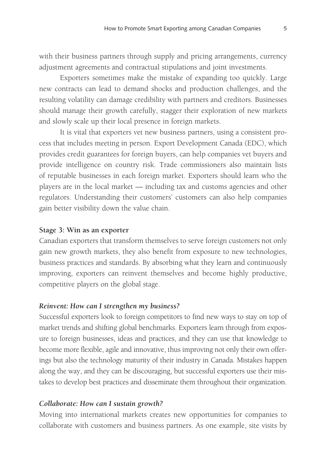with their business partners through supply and pricing arrangements, currency adjustment agreements and contractual stipulations and joint investments.

Exporters sometimes make the mistake of expanding too quickly. Large new contracts can lead to demand shocks and production challenges, and the resulting volatility can damage credibility with partners and creditors. Businesses should manage their growth carefully, stagger their exploration of new markets and slowly scale up their local presence in foreign markets.

It is vital that exporters vet new business partners, using a consistent process that includes meeting in person. Export Development Canada (EDC), which provides credit guarantees for foreign buyers, can help companies vet buyers and provide intelligence on country risk. Trade commissioners also maintain lists of reputable businesses in each foreign market. Exporters should learn who the players are in the local market — including tax and customs agencies and other regulators. Understanding their customers' customers can also help companies gain better visibility down the value chain.

#### **Stage 3: Win as an exporter**

Canadian exporters that transform themselves to serve foreign customers not only gain new growth markets, they also benefit from exposure to new technologies, business practices and standards. By absorbing what they learn and continuously improving, exporters can reinvent themselves and become highly productive, competitive players on the global stage.

## *Reinvent: How can I strengthen my business?*

Successful exporters look to foreign competitors to find new ways to stay on top of market trends and shifting global benchmarks. Exporters learn through from exposure to foreign businesses, ideas and practices, and they can use that knowledge to become more flexible, agile and innovative, thus improving not only their own offerings but also the technology maturity of their industry in Canada. Mistakes happen along the way, and they can be discouraging, but successful exporters use their mistakes to develop best practices and disseminate them throughout their organization.

#### *Collaborate: How can I sustain growth?*

Moving into international markets creates new opportunities for companies to collaborate with customers and business partners. As one example, site visits by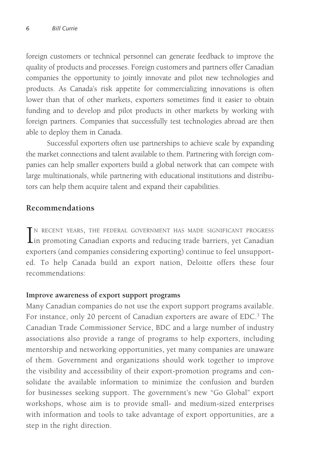foreign customers or technical personnel can generate feedback to improve the quality of products and processes. Foreign customers and partners offer Canadian companies the opportunity to jointly innovate and pilot new technologies and products. As Canada's risk appetite for commercializing innovations is often lower than that of other markets, exporters sometimes find it easier to obtain funding and to develop and pilot products in other markets by working with foreign partners. Companies that successfully test technologies abroad are then able to deploy them in Canada.

Successful exporters often use partnerships to achieve scale by expanding the market connections and talent available to them. Partnering with foreign companies can help smaller exporters build a global network that can compete with large multinationals, while partnering with educational institutions and distributors can help them acquire talent and expand their capabilities.

# **Recommendations**

IN RECENT YEARS, THE FEDERAL GOVERNMENT HAS MADE SIGNIFICANT PROGRESS<br>in promoting Canadian exports and reducing trade barriers, yet Canadian n recent years, the federal government has made significant progress exporters (and companies considering exporting) continue to feel unsupported. To help Canada build an export nation, Deloitte offers these four recommendations:

## **Improve awareness of export support programs**

Many Canadian companies do not use the export support programs available. For instance, only 20 percent of Canadian exporters are aware of EDC.<sup>3</sup> The Canadian Trade Commissioner Service, BDC and a large number of industry associations also provide a range of programs to help exporters, including mentorship and networking opportunities, yet many companies are unaware of them. Government and organizations should work together to improve the visibility and accessibility of their export-promotion programs and consolidate the available information to minimize the confusion and burden for businesses seeking support. The government's new "Go Global" export workshops, whose aim is to provide small- and medium-sized enterprises with information and tools to take advantage of export opportunities, are a step in the right direction.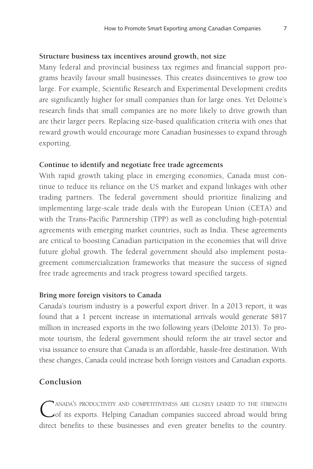#### **Structure business tax incentives around growth, not size**

Many federal and provincial business tax regimes and financial support programs heavily favour small businesses. This creates disincentives to grow too large. For example, Scientific Research and Experimental Development credits are significantly higher for small companies than for large ones. Yet Deloitte's research finds that small companies are no more likely to drive growth than are their larger peers. Replacing size-based qualification criteria with ones that reward growth would encourage more Canadian businesses to expand through exporting.

#### **Continue to identify and negotiate free trade agreements**

With rapid growth taking place in emerging economies, Canada must continue to reduce its reliance on the US market and expand linkages with other trading partners. The federal government should prioritize finalizing and implementing large-scale trade deals with the European Union (CETA) and with the Trans-Pacific Partnership (TPP) as well as concluding high-potential agreements with emerging market countries, such as India. These agreements are critical to boosting Canadian participation in the economies that will drive future global growth. The federal government should also implement postagreement commercialization frameworks that measure the success of signed free trade agreements and track progress toward specified targets.

# **Bring more foreign visitors to Canada**

Canada's tourism industry is a powerful export driver. In a 2013 report, it was found that a 1 percent increase in international arrivals would generate \$817 million in increased exports in the two following years (Deloitte 2013). To promote tourism, the federal government should reform the air travel sector and visa issuance to ensure that Canada is an affordable, hassle-free destination. With these changes, Canada could increase both foreign visitors and Canadian exports.

# **Conclusion**

CANADA'S PRODUCTIVITY AND COMPETITIVENESS ARE CLOSELY LINKED TO THE STRENGTH of its exports. Helping Canadian companies succeed abroad would bring direct benefits to these businesses and even greater benefits to the country.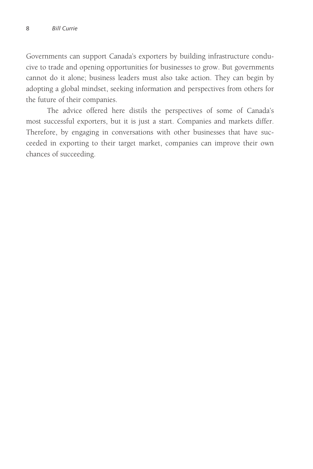Governments can support Canada's exporters by building infrastructure conducive to trade and opening opportunities for businesses to grow. But governments cannot do it alone; business leaders must also take action. They can begin by adopting a global mindset, seeking information and perspectives from others for the future of their companies.

The advice offered here distils the perspectives of some of Canada's most successful exporters, but it is just a start. Companies and markets differ. Therefore, by engaging in conversations with other businesses that have succeeded in exporting to their target market, companies can improve their own chances of succeeding.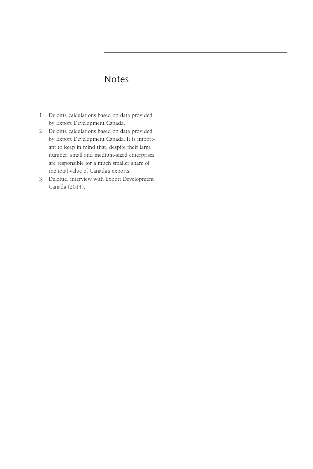# Notes

- 1. Deloitte calculations based on data provided by Export Development Canada.
- 2. Deloitte calculations based on data provided by Export Development Canada. It is important to keep in mind that, despite their large number, small and medium-sized enterprises are responsible for a much smaller share of the total value of Canada's exports.
- 3. Deloitte, interview with Export Development Canada (2014).